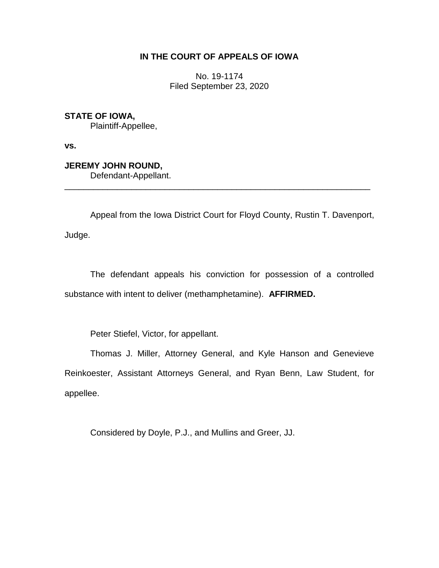## **IN THE COURT OF APPEALS OF IOWA**

No. 19-1174 Filed September 23, 2020

**STATE OF IOWA,** Plaintiff-Appellee,

**vs.**

**JEREMY JOHN ROUND,**

Defendant-Appellant.

Appeal from the Iowa District Court for Floyd County, Rustin T. Davenport, Judge.

\_\_\_\_\_\_\_\_\_\_\_\_\_\_\_\_\_\_\_\_\_\_\_\_\_\_\_\_\_\_\_\_\_\_\_\_\_\_\_\_\_\_\_\_\_\_\_\_\_\_\_\_\_\_\_\_\_\_\_\_\_\_\_\_

The defendant appeals his conviction for possession of a controlled substance with intent to deliver (methamphetamine). **AFFIRMED.**

Peter Stiefel, Victor, for appellant.

Thomas J. Miller, Attorney General, and Kyle Hanson and Genevieve Reinkoester, Assistant Attorneys General, and Ryan Benn, Law Student, for appellee.

Considered by Doyle, P.J., and Mullins and Greer, JJ.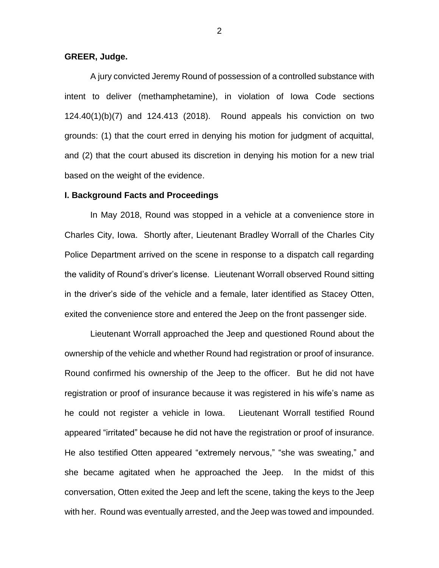### **GREER, Judge.**

A jury convicted Jeremy Round of possession of a controlled substance with intent to deliver (methamphetamine), in violation of Iowa Code sections 124.40(1)(b)(7) and 124.413 (2018). Round appeals his conviction on two grounds: (1) that the court erred in denying his motion for judgment of acquittal, and (2) that the court abused its discretion in denying his motion for a new trial based on the weight of the evidence.

#### **I. Background Facts and Proceedings**

In May 2018, Round was stopped in a vehicle at a convenience store in Charles City, Iowa. Shortly after, Lieutenant Bradley Worrall of the Charles City Police Department arrived on the scene in response to a dispatch call regarding the validity of Round's driver's license. Lieutenant Worrall observed Round sitting in the driver's side of the vehicle and a female, later identified as Stacey Otten, exited the convenience store and entered the Jeep on the front passenger side.

Lieutenant Worrall approached the Jeep and questioned Round about the ownership of the vehicle and whether Round had registration or proof of insurance. Round confirmed his ownership of the Jeep to the officer. But he did not have registration or proof of insurance because it was registered in his wife's name as he could not register a vehicle in Iowa. Lieutenant Worrall testified Round appeared "irritated" because he did not have the registration or proof of insurance. He also testified Otten appeared "extremely nervous," "she was sweating," and she became agitated when he approached the Jeep. In the midst of this conversation, Otten exited the Jeep and left the scene, taking the keys to the Jeep with her. Round was eventually arrested, and the Jeep was towed and impounded.

2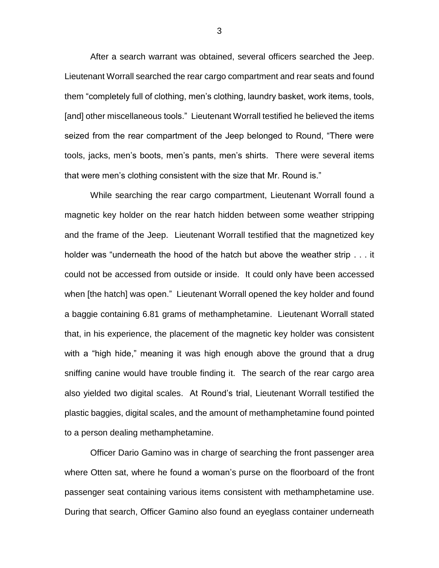After a search warrant was obtained, several officers searched the Jeep. Lieutenant Worrall searched the rear cargo compartment and rear seats and found them "completely full of clothing, men's clothing, laundry basket, work items, tools, [and] other miscellaneous tools." Lieutenant Worrall testified he believed the items seized from the rear compartment of the Jeep belonged to Round, "There were tools, jacks, men's boots, men's pants, men's shirts. There were several items that were men's clothing consistent with the size that Mr. Round is."

While searching the rear cargo compartment, Lieutenant Worrall found a magnetic key holder on the rear hatch hidden between some weather stripping and the frame of the Jeep. Lieutenant Worrall testified that the magnetized key holder was "underneath the hood of the hatch but above the weather strip . . . it could not be accessed from outside or inside. It could only have been accessed when [the hatch] was open." Lieutenant Worrall opened the key holder and found a baggie containing 6.81 grams of methamphetamine. Lieutenant Worrall stated that, in his experience, the placement of the magnetic key holder was consistent with a "high hide," meaning it was high enough above the ground that a drug sniffing canine would have trouble finding it. The search of the rear cargo area also yielded two digital scales. At Round's trial, Lieutenant Worrall testified the plastic baggies, digital scales, and the amount of methamphetamine found pointed to a person dealing methamphetamine.

Officer Dario Gamino was in charge of searching the front passenger area where Otten sat, where he found a woman's purse on the floorboard of the front passenger seat containing various items consistent with methamphetamine use. During that search, Officer Gamino also found an eyeglass container underneath

3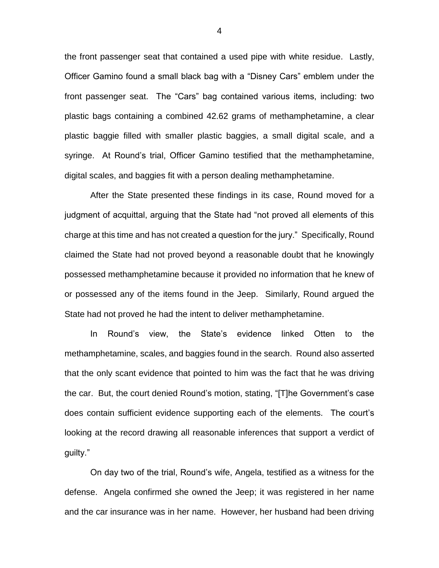the front passenger seat that contained a used pipe with white residue. Lastly, Officer Gamino found a small black bag with a "Disney Cars" emblem under the front passenger seat. The "Cars" bag contained various items, including: two plastic bags containing a combined 42.62 grams of methamphetamine, a clear plastic baggie filled with smaller plastic baggies, a small digital scale, and a syringe. At Round's trial, Officer Gamino testified that the methamphetamine, digital scales, and baggies fit with a person dealing methamphetamine.

After the State presented these findings in its case, Round moved for a judgment of acquittal, arguing that the State had "not proved all elements of this charge at this time and has not created a question for the jury." Specifically, Round claimed the State had not proved beyond a reasonable doubt that he knowingly possessed methamphetamine because it provided no information that he knew of or possessed any of the items found in the Jeep. Similarly, Round argued the State had not proved he had the intent to deliver methamphetamine.

In Round's view, the State's evidence linked Otten to the methamphetamine, scales, and baggies found in the search. Round also asserted that the only scant evidence that pointed to him was the fact that he was driving the car. But, the court denied Round's motion, stating, "[T]he Government's case does contain sufficient evidence supporting each of the elements. The court's looking at the record drawing all reasonable inferences that support a verdict of guilty."

On day two of the trial, Round's wife, Angela, testified as a witness for the defense. Angela confirmed she owned the Jeep; it was registered in her name and the car insurance was in her name. However, her husband had been driving

4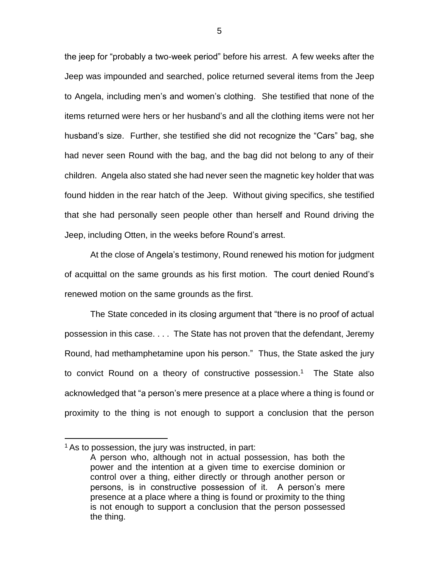the jeep for "probably a two-week period" before his arrest. A few weeks after the Jeep was impounded and searched, police returned several items from the Jeep to Angela, including men's and women's clothing. She testified that none of the items returned were hers or her husband's and all the clothing items were not her husband's size. Further, she testified she did not recognize the "Cars" bag, she had never seen Round with the bag, and the bag did not belong to any of their children. Angela also stated she had never seen the magnetic key holder that was found hidden in the rear hatch of the Jeep. Without giving specifics, she testified that she had personally seen people other than herself and Round driving the Jeep, including Otten, in the weeks before Round's arrest.

At the close of Angela's testimony, Round renewed his motion for judgment of acquittal on the same grounds as his first motion. The court denied Round's renewed motion on the same grounds as the first.

The State conceded in its closing argument that "there is no proof of actual possession in this case. . . . The State has not proven that the defendant, Jeremy Round, had methamphetamine upon his person." Thus, the State asked the jury to convict Round on a theory of constructive possession.<sup>1</sup> The State also acknowledged that "a person's mere presence at a place where a thing is found or proximity to the thing is not enough to support a conclusion that the person

 $\overline{a}$ 

 $1$  As to possession, the jury was instructed, in part:

A person who, although not in actual possession, has both the power and the intention at a given time to exercise dominion or control over a thing, either directly or through another person or persons, is in constructive possession of it. A person's mere presence at a place where a thing is found or proximity to the thing is not enough to support a conclusion that the person possessed the thing.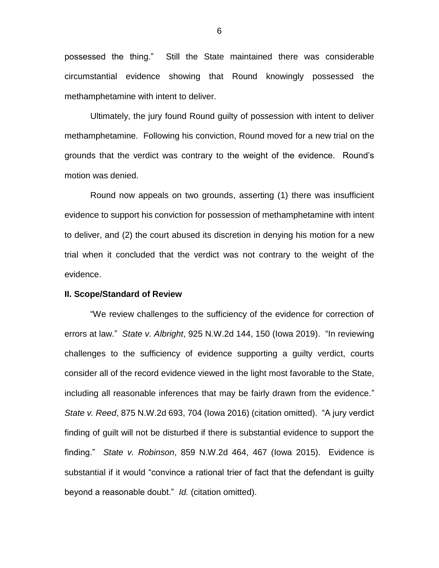possessed the thing." Still the State maintained there was considerable circumstantial evidence showing that Round knowingly possessed the methamphetamine with intent to deliver.

Ultimately, the jury found Round guilty of possession with intent to deliver methamphetamine. Following his conviction, Round moved for a new trial on the grounds that the verdict was contrary to the weight of the evidence. Round's motion was denied.

Round now appeals on two grounds, asserting (1) there was insufficient evidence to support his conviction for possession of methamphetamine with intent to deliver, and (2) the court abused its discretion in denying his motion for a new trial when it concluded that the verdict was not contrary to the weight of the evidence.

#### **II. Scope/Standard of Review**

"We review challenges to the sufficiency of the evidence for correction of errors at law." *State v. Albright*, 925 N.W.2d 144, 150 (Iowa 2019). "In reviewing challenges to the sufficiency of evidence supporting a guilty verdict, courts consider all of the record evidence viewed in the light most favorable to the State, including all reasonable inferences that may be fairly drawn from the evidence." *State v. Reed*, 875 N.W.2d 693, 704 (Iowa 2016) (citation omitted). "A jury verdict finding of guilt will not be disturbed if there is substantial evidence to support the finding." *State v. Robinson*, 859 N.W.2d 464, 467 (Iowa 2015). Evidence is substantial if it would "convince a rational trier of fact that the defendant is guilty beyond a reasonable doubt." *Id.* (citation omitted).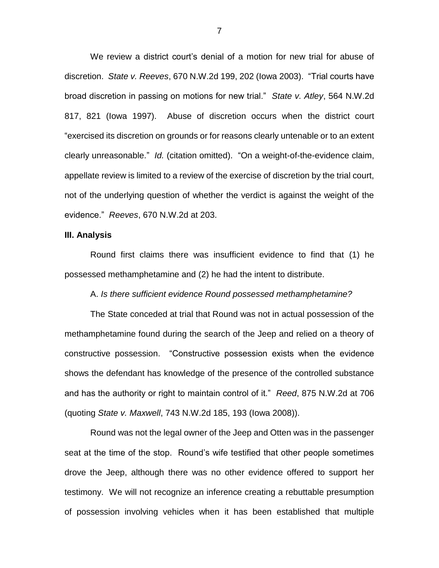We review a district court's denial of a motion for new trial for abuse of discretion. *State v. Reeves*, 670 N.W.2d 199, 202 (Iowa 2003). "Trial courts have broad discretion in passing on motions for new trial." *State v. Atley*, 564 N.W.2d 817, 821 (Iowa 1997). Abuse of discretion occurs when the district court "exercised its discretion on grounds or for reasons clearly untenable or to an extent clearly unreasonable." *Id.* (citation omitted). "On a weight-of-the-evidence claim, appellate review is limited to a review of the exercise of discretion by the trial court, not of the underlying question of whether the verdict is against the weight of the evidence." *Reeves*, 670 N.W.2d at 203.

#### **III. Analysis**

Round first claims there was insufficient evidence to find that (1) he possessed methamphetamine and (2) he had the intent to distribute.

A. *Is there sufficient evidence Round possessed methamphetamine?*

The State conceded at trial that Round was not in actual possession of the methamphetamine found during the search of the Jeep and relied on a theory of constructive possession. "Constructive possession exists when the evidence shows the defendant has knowledge of the presence of the controlled substance and has the authority or right to maintain control of it." *Reed*, 875 N.W.2d at 706 (quoting *State v. Maxwell*, 743 N.W.2d 185, 193 (Iowa 2008)).

Round was not the legal owner of the Jeep and Otten was in the passenger seat at the time of the stop. Round's wife testified that other people sometimes drove the Jeep, although there was no other evidence offered to support her testimony. We will not recognize an inference creating a rebuttable presumption of possession involving vehicles when it has been established that multiple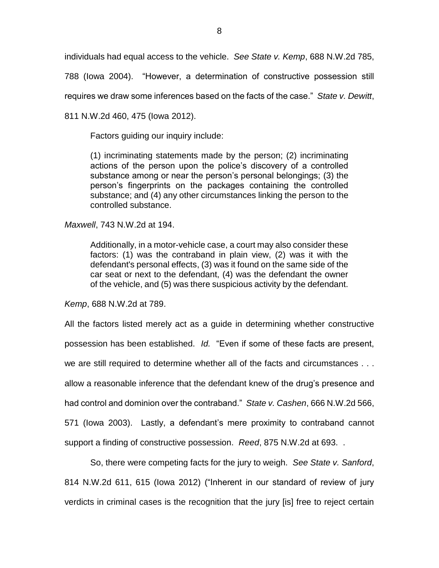individuals had equal access to the vehicle. *See State v. Kemp*, 688 N.W.2d 785,

788 (Iowa 2004). "However, a determination of constructive possession still

requires we draw some inferences based on the facts of the case." *State v. Dewitt*,

811 N.W.2d 460, 475 (Iowa 2012).

Factors guiding our inquiry include:

(1) incriminating statements made by the person; (2) incriminating actions of the person upon the police's discovery of a controlled substance among or near the person's personal belongings; (3) the person's fingerprints on the packages containing the controlled substance; and (4) any other circumstances linking the person to the controlled substance.

*Maxwell*, 743 N.W.2d at 194.

Additionally, in a motor-vehicle case, a court may also consider these factors: (1) was the contraband in plain view, (2) was it with the defendant's personal effects, (3) was it found on the same side of the car seat or next to the defendant, (4) was the defendant the owner of the vehicle, and (5) was there suspicious activity by the defendant.

*Kemp*, 688 N.W.2d at 789.

All the factors listed merely act as a guide in determining whether constructive possession has been established. *Id.* "Even if some of these facts are present, we are still required to determine whether all of the facts and circumstances . . . allow a reasonable inference that the defendant knew of the drug's presence and had control and dominion over the contraband." *State v. Cashen*, 666 N.W.2d 566, 571 (Iowa 2003). Lastly, a defendant's mere proximity to contraband cannot support a finding of constructive possession. *Reed*, 875 N.W.2d at 693. .

So, there were competing facts for the jury to weigh. *See State v. Sanford*, 814 N.W.2d 611, 615 (Iowa 2012) ("Inherent in our standard of review of jury verdicts in criminal cases is the recognition that the jury [is] free to reject certain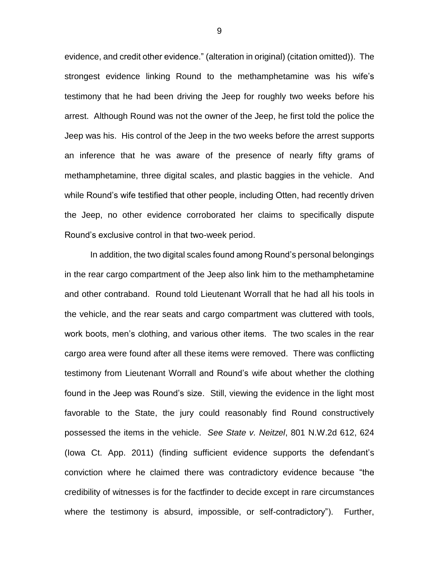evidence, and credit other evidence." (alteration in original) (citation omitted)). The strongest evidence linking Round to the methamphetamine was his wife's testimony that he had been driving the Jeep for roughly two weeks before his arrest. Although Round was not the owner of the Jeep, he first told the police the Jeep was his. His control of the Jeep in the two weeks before the arrest supports an inference that he was aware of the presence of nearly fifty grams of methamphetamine, three digital scales, and plastic baggies in the vehicle. And while Round's wife testified that other people, including Otten, had recently driven the Jeep, no other evidence corroborated her claims to specifically dispute Round's exclusive control in that two-week period.

In addition, the two digital scales found among Round's personal belongings in the rear cargo compartment of the Jeep also link him to the methamphetamine and other contraband. Round told Lieutenant Worrall that he had all his tools in the vehicle, and the rear seats and cargo compartment was cluttered with tools, work boots, men's clothing, and various other items. The two scales in the rear cargo area were found after all these items were removed. There was conflicting testimony from Lieutenant Worrall and Round's wife about whether the clothing found in the Jeep was Round's size. Still, viewing the evidence in the light most favorable to the State, the jury could reasonably find Round constructively possessed the items in the vehicle. *See State v. Neitzel*, 801 N.W.2d 612, 624 (Iowa Ct. App. 2011) (finding sufficient evidence supports the defendant's conviction where he claimed there was contradictory evidence because "the credibility of witnesses is for the factfinder to decide except in rare circumstances where the testimony is absurd, impossible, or self-contradictory"). Further,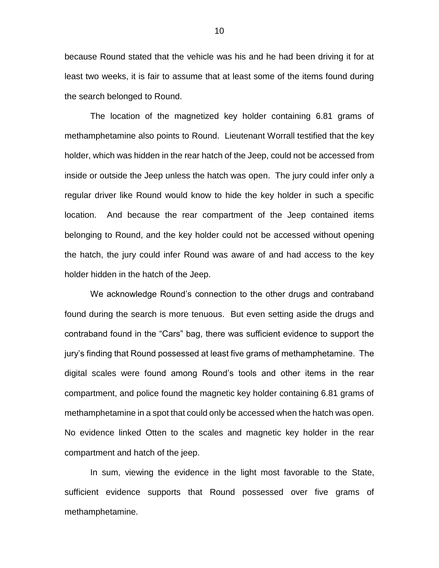because Round stated that the vehicle was his and he had been driving it for at least two weeks, it is fair to assume that at least some of the items found during the search belonged to Round.

The location of the magnetized key holder containing 6.81 grams of methamphetamine also points to Round. Lieutenant Worrall testified that the key holder, which was hidden in the rear hatch of the Jeep, could not be accessed from inside or outside the Jeep unless the hatch was open. The jury could infer only a regular driver like Round would know to hide the key holder in such a specific location. And because the rear compartment of the Jeep contained items belonging to Round, and the key holder could not be accessed without opening the hatch, the jury could infer Round was aware of and had access to the key holder hidden in the hatch of the Jeep.

We acknowledge Round's connection to the other drugs and contraband found during the search is more tenuous. But even setting aside the drugs and contraband found in the "Cars" bag, there was sufficient evidence to support the jury's finding that Round possessed at least five grams of methamphetamine. The digital scales were found among Round's tools and other items in the rear compartment, and police found the magnetic key holder containing 6.81 grams of methamphetamine in a spot that could only be accessed when the hatch was open. No evidence linked Otten to the scales and magnetic key holder in the rear compartment and hatch of the jeep.

In sum, viewing the evidence in the light most favorable to the State, sufficient evidence supports that Round possessed over five grams of methamphetamine.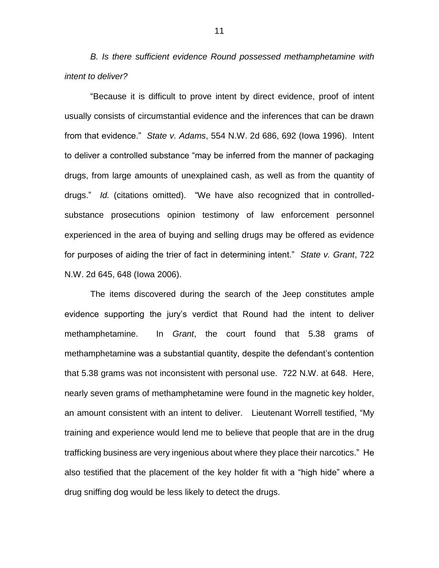*B. Is there sufficient evidence Round possessed methamphetamine with intent to deliver?*

"Because it is difficult to prove intent by direct evidence, proof of intent usually consists of circumstantial evidence and the inferences that can be drawn from that evidence." *State v. Adams*, 554 N.W. 2d 686, 692 (Iowa 1996). Intent to deliver a controlled substance "may be inferred from the manner of packaging drugs, from large amounts of unexplained cash, as well as from the quantity of drugs." *Id.* (citations omitted)."We have also recognized that in controlledsubstance prosecutions opinion testimony of law enforcement personnel experienced in the area of buying and selling drugs may be offered as evidence for purposes of aiding the trier of fact in determining intent." *State v. Grant*, 722 N.W. 2d 645, 648 (Iowa 2006).

The items discovered during the search of the Jeep constitutes ample evidence supporting the jury's verdict that Round had the intent to deliver methamphetamine. In *Grant*, the court found that 5.38 grams of methamphetamine was a substantial quantity, despite the defendant's contention that 5.38 grams was not inconsistent with personal use. 722 N.W. at 648. Here, nearly seven grams of methamphetamine were found in the magnetic key holder, an amount consistent with an intent to deliver. Lieutenant Worrell testified, "My training and experience would lend me to believe that people that are in the drug trafficking business are very ingenious about where they place their narcotics." He also testified that the placement of the key holder fit with a "high hide" where a drug sniffing dog would be less likely to detect the drugs.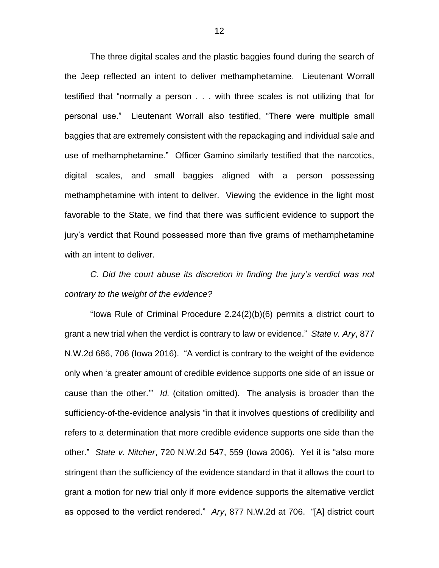The three digital scales and the plastic baggies found during the search of the Jeep reflected an intent to deliver methamphetamine. Lieutenant Worrall testified that "normally a person . . . with three scales is not utilizing that for personal use." Lieutenant Worrall also testified, "There were multiple small baggies that are extremely consistent with the repackaging and individual sale and use of methamphetamine." Officer Gamino similarly testified that the narcotics, digital scales, and small baggies aligned with a person possessing methamphetamine with intent to deliver. Viewing the evidence in the light most favorable to the State, we find that there was sufficient evidence to support the jury's verdict that Round possessed more than five grams of methamphetamine with an intent to deliver.

# *C. Did the court abuse its discretion in finding the jury's verdict was not contrary to the weight of the evidence?*

"Iowa Rule of Criminal Procedure 2.24(2)(b)(6) permits a district court to grant a new trial when the verdict is contrary to law or evidence." *State v. Ary*, 877 N.W.2d 686, 706 (Iowa 2016). "A verdict is contrary to the weight of the evidence only when 'a greater amount of credible evidence supports one side of an issue or cause than the other.'" *Id.* (citation omitted). The analysis is broader than the sufficiency-of-the-evidence analysis "in that it involves questions of credibility and refers to a determination that more credible evidence supports one side than the other." *State v. Nitcher*, 720 N.W.2d 547, 559 (Iowa 2006). Yet it is "also more stringent than the sufficiency of the evidence standard in that it allows the court to grant a motion for new trial only if more evidence supports the alternative verdict as opposed to the verdict rendered." *Ary*, 877 N.W.2d at 706. "[A] district court